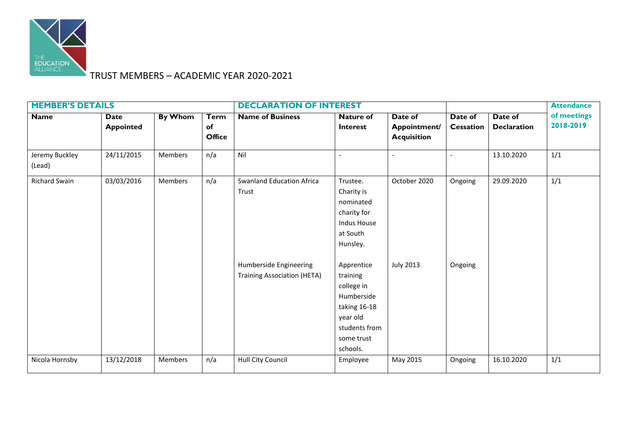

## TRUST MEMBERS – ACADEMIC YEAR 2020-2021

| <b>MEMBER'S DETAILS</b>  |                          |                |                                    | <b>DECLARATION OF INTEREST</b>                                                                            |                                                                                                                                                                                                                               |                                               |                             |                               | <b>Attendance</b>        |
|--------------------------|--------------------------|----------------|------------------------------------|-----------------------------------------------------------------------------------------------------------|-------------------------------------------------------------------------------------------------------------------------------------------------------------------------------------------------------------------------------|-----------------------------------------------|-----------------------------|-------------------------------|--------------------------|
| <b>Name</b>              | Date<br><b>Appointed</b> | <b>By Whom</b> | <b>Term</b><br>of<br><b>Office</b> | <b>Name of Business</b>                                                                                   | <b>Nature of</b><br><b>Interest</b>                                                                                                                                                                                           | Date of<br>Appointment/<br><b>Acquisition</b> | Date of<br><b>Cessation</b> | Date of<br><b>Declaration</b> | of meetings<br>2018-2019 |
| Jeremy Buckley<br>(Lead) | 24/11/2015               | Members        | n/a                                | Nil                                                                                                       |                                                                                                                                                                                                                               | $\overline{a}$                                |                             | 13.10.2020                    | 1/1                      |
| <b>Richard Swain</b>     | 03/03/2016               | Members        | n/a                                | <b>Swanland Education Africa</b><br>Trust<br>Humberside Engineering<br><b>Training Association (HETA)</b> | Trustee.<br>Charity is<br>nominated<br>charity for<br><b>Indus House</b><br>at South<br>Hunsley.<br>Apprentice<br>training<br>college in<br>Humberside<br>taking 16-18<br>year old<br>students from<br>some trust<br>schools. | October 2020<br><b>July 2013</b>              | Ongoing<br>Ongoing          | 29.09.2020                    | 1/1                      |
| Nicola Hornsby           | 13/12/2018               | Members        | n/a                                | Hull City Council                                                                                         | Employee                                                                                                                                                                                                                      | May 2015                                      | Ongoing                     | 16.10.2020                    | 1/1                      |